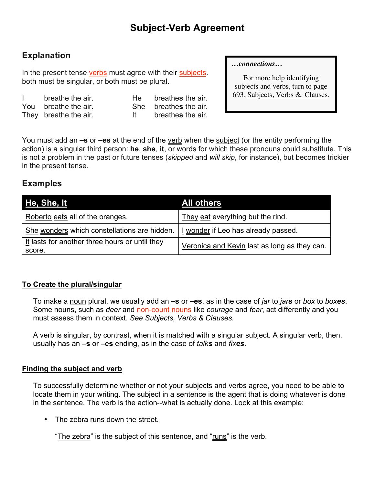# **Explanation**

In the present tense verbs must agree with their subjects. both must be singular, or both must be plural.

I breathe the air. He breathe**s** the air. You breathe the air. She breathe**s** the air. They breathe the air. It breathe**s** the air.

#### *…connections…*

For more help identifying subjects and verbs, turn to page 693, Subjects, Verbs & Clauses.

You must add an **–s** or **–es** at the end of the verb when the subject (or the entity performing the action) is a singular third person: **he**, **she**, **it**, or words for which these pronouns could substitute. This is not a problem in the past or future tenses (*skipped* and *will skip*, for instance), but becomes trickier in the present tense.

## **Examples**

| He, She, It                                              | All others                                   |
|----------------------------------------------------------|----------------------------------------------|
| Roberto eats all of the oranges.                         | They eat everything but the rind.            |
| She wonders which constellations are hidden.             | I wonder if Leo has already passed.          |
| It lasts for another three hours or until they<br>score. | Veronica and Kevin last as long as they can. |

#### **To Create the plural/singular**

To make a noun plural, we usually add an **–s** or **–es**, as in the case of *jar* to *jars* or *box* to *boxes*. Some nouns, such as *deer* and non-count nouns like *courage* and *fear*, act differently and you must assess them in context. *See Subjects, Verbs & Clauses.*

A verb is singular, by contrast, when it is matched with a singular subject. A singular verb, then, usually has an **–s** or **–es** ending, as in the case of *talks* and *fixes*.

#### **Finding the subject and verb**

To successfully determine whether or not your subjects and verbs agree, you need to be able to locate them in your writing. The subject in a sentence is the agent that is doing whatever is done in the sentence. The verb is the action--what is actually done. Look at this example:

The zebra runs down the street.

"The zebra" is the subject of this sentence, and "runs" is the verb.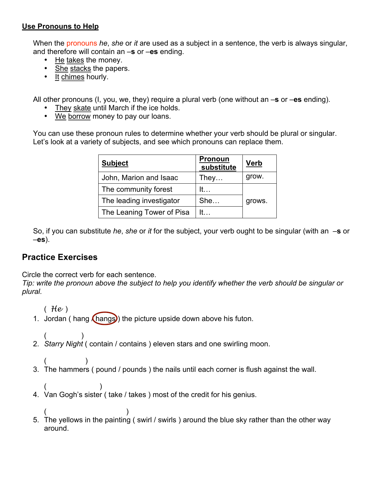#### **Use Pronouns to Help**

When the pronouns *he*, *she* or *it* are used as a subject in a sentence, the verb is always singular, and therefore will contain an –**s** or –**es** ending.

- He takes the money.
- She stacks the papers.
- It chimes hourly.

All other pronouns (I, you, we, they) require a plural verb (one without an –**s** or –**es** ending).

- They skate until March if the ice holds.
- We borrow money to pay our loans.

You can use these pronoun rules to determine whether your verb should be plural or singular. Let's look at a variety of subjects, and see which pronouns can replace them.

| <b>Subject</b>            | <u>Pronoun</u><br>substitute | <b>Verb</b> |
|---------------------------|------------------------------|-------------|
| John, Marion and Isaac    | They                         | grow.       |
| The community forest      | It                           |             |
| The leading investigator  | She                          | grows.      |
| The Leaning Tower of Pisa | lt –                         |             |

So, if you can substitute *he*, *she* or *it* for the subject, your verb ought to be singular (with an –**s** or –**es**).

### **Practice Exercises**

Circle the correct verb for each sentence.

*Tip: write the pronoun above the subject to help you identify whether the verb should be singular or plural.*

( *He* )

- 1. Jordan ( hang  $($  hangs) the picture upside down above his futon.
- $($ 2. *Starry Night* ( contain / contains ) eleven stars and one swirling moon.
- $($ 3. The hammers ( pound / pounds ) the nails until each corner is flush against the wall.
- $($ 4. Van Gogh's sister ( take / takes ) most of the credit for his genius.
- $($ 5. The yellows in the painting ( swirl / swirls ) around the blue sky rather than the other way around.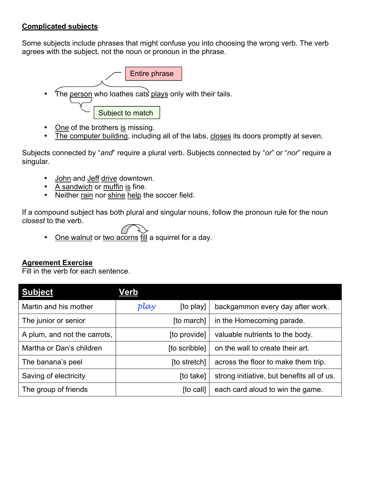### **Complicated subjects**

Some subjects include phrases that might confuse you into choosing the wrong verb. The verb agrees with the subject, not the noun or pronoun in the phrase.



- One of the brothers is missing.
- The computer building, including all of the labs, closes its doors promptly at seven.

Subjects connected by "*and*" require a plural verb. Subjects connected by "*or*" or "*nor*" require a singular.

- John and Jeff drive downtown.
- A sandwich or muffin is fine.
- Neither rain nor shine help the soccer field.

If a compound subject has both plural and singular nouns, follow the pronoun rule for the noun *closest* to the verb.

• One walnut or two acorns fill a squirrel for a day.

#### **Agreement Exercise**

Fill in the verb for each sentence.

| <b>Subject</b>               | <u>Verb</u> |               |                                            |
|------------------------------|-------------|---------------|--------------------------------------------|
| Martin and his mother        | play        | [to play]     | backgammon every day after work.           |
| The junior or senior         |             | [to march]    | in the Homecoming parade.                  |
| A plum, and not the carrots, |             | [to provide]  | valuable nutrients to the body.            |
| Martha or Dan's children     |             | [to scribble] | on the wall to create their art.           |
| The banana's peel            |             | [to stretch]  | across the floor to make them trip.        |
| Saving of electricity        |             | [to take]     | strong initiative, but benefits all of us. |
| The group of friends         |             | [to call]     | each card aloud to win the game.           |